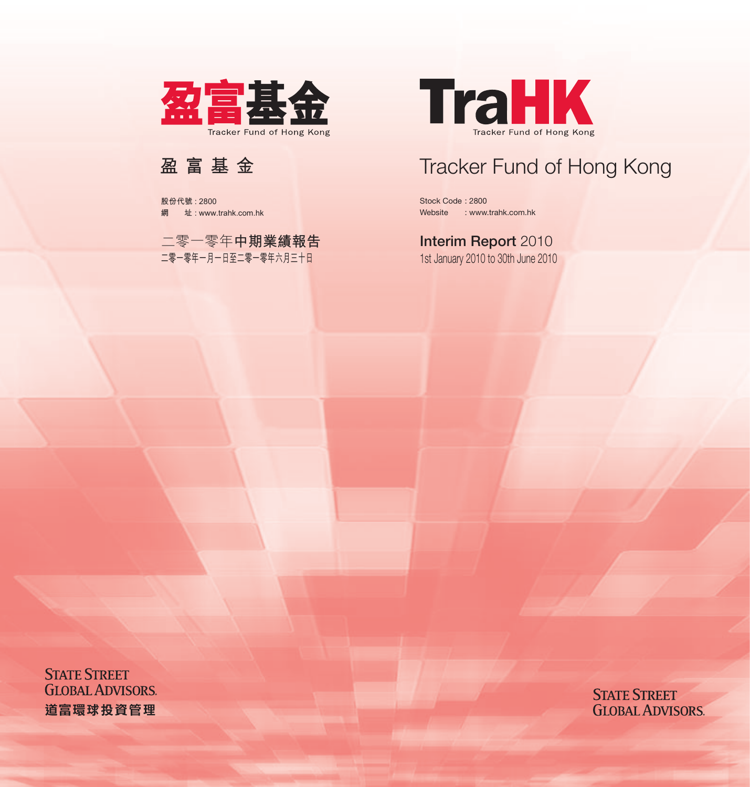

Stock Code : 2800 Website : www.trahk.com.hk

## **Interim Report 2010**

1st January 2010 to 30th June 2010

**STATE STREET GLOBAL ADVISORS**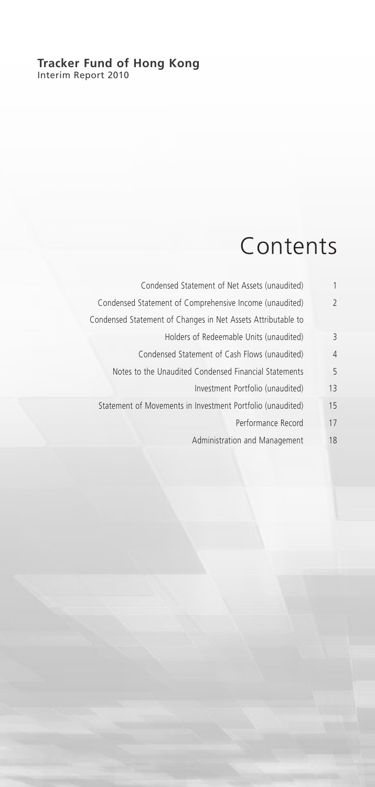#### **Tracker Fund of Hong Kong** Interim Report 2010

# Contents

| 1              | Condensed Statement of Net Assets (unaudited)                |
|----------------|--------------------------------------------------------------|
| $\overline{2}$ | Condensed Statement of Comprehensive Income (unaudited)      |
|                | Condensed Statement of Changes in Net Assets Attributable to |
| 3              | Holders of Redeemable Units (unaudited)                      |
| 4              | Condensed Statement of Cash Flows (unaudited)                |
| 5              | Notes to the Unaudited Condensed Financial Statements        |
| 13             | Investment Portfolio (unaudited)                             |
| 15             | Statement of Movements in Investment Portfolio (unaudited)   |
| 17             | Performance Record                                           |
| 18             | Administration and Management                                |
|                |                                                              |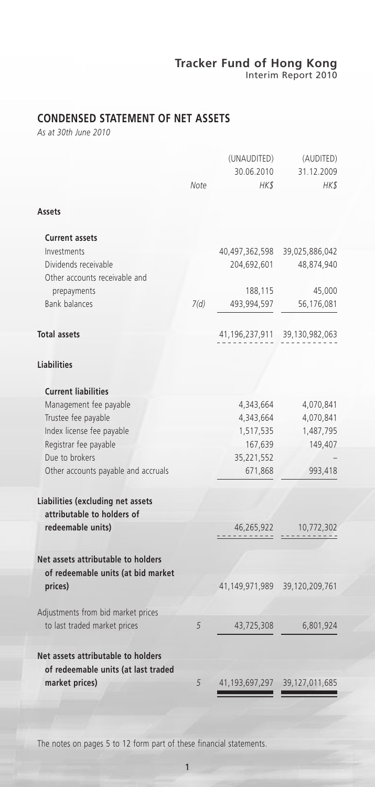## **CONDENSED STATEMENT OF NET ASSETS**

*As at 30th June 2010*

|                                                                          |      | (UNAUDITED)    | (AUDITED)      |
|--------------------------------------------------------------------------|------|----------------|----------------|
|                                                                          |      | 30.06.2010     | 31.12.2009     |
|                                                                          | Note | HK\$           | HK\$           |
| Assets                                                                   |      |                |                |
| <b>Current assets</b>                                                    |      |                |                |
| Investments                                                              |      | 40,497,362,598 | 39,025,886,042 |
| Dividends receivable<br>Other accounts receivable and                    |      | 204,692,601    | 48,874,940     |
| prepayments                                                              |      | 188,115        | 45,000         |
| <b>Bank balances</b>                                                     | 7(d) | 493,994,597    | 56,176,081     |
| <b>Total assets</b>                                                      |      | 41,196,237,911 | 39,130,982,063 |
| <b>Liabilities</b>                                                       |      |                |                |
| <b>Current liabilities</b>                                               |      |                |                |
| Management fee payable                                                   |      | 4,343,664      | 4,070,841      |
| Trustee fee payable                                                      |      | 4,343,664      | 4,070,841      |
| Index license fee payable                                                |      | 1,517,535      | 1,487,795      |
| Registrar fee payable                                                    |      | 167,639        | 149,407        |
| Due to brokers                                                           |      | 35,221,552     |                |
| Other accounts payable and accruals                                      |      | 671,868        | 993,418        |
| Liabilities (excluding net assets                                        |      |                |                |
| attributable to holders of                                               |      |                |                |
| redeemable units)                                                        |      | 46,265,922     | 10,772,302     |
| Net assets attributable to holders<br>of redeemable units (at bid market |      |                |                |
| prices)                                                                  |      | 41,149,971,989 | 39,120,209,761 |
| Adjustments from bid market prices                                       |      |                |                |
| to last traded market prices                                             | 5    | 43,725,308     | 6,801,924      |
| Net assets attributable to holders                                       |      |                |                |
| of redeemable units (at last traded<br>market prices)                    | 5    | 41,193,697,297 | 39,127,011,685 |
|                                                                          |      |                |                |

The notes on pages 5 to 12 form part of these financial statements.

1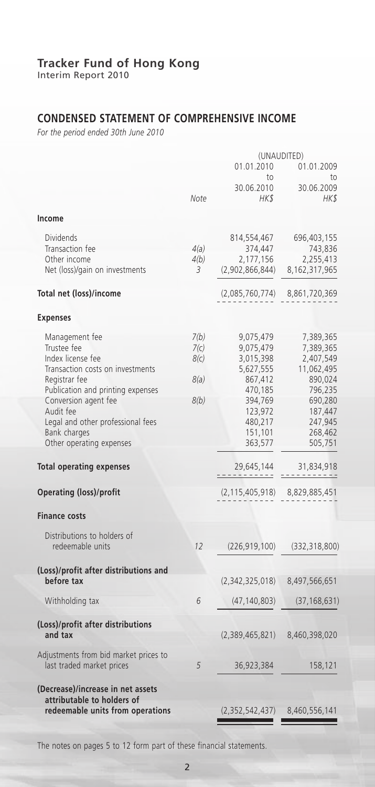Interim Report 2010

## **CONDENSED STATEMENT OF COMPREHENSIVE INCOME**

*For the period ended 30th June 2010*

|                                                                                                                                                                                                                                                                    |                                      | (UNAUDITED)                                                                                                                   |                                                                                                                                |  |
|--------------------------------------------------------------------------------------------------------------------------------------------------------------------------------------------------------------------------------------------------------------------|--------------------------------------|-------------------------------------------------------------------------------------------------------------------------------|--------------------------------------------------------------------------------------------------------------------------------|--|
|                                                                                                                                                                                                                                                                    |                                      | 01.01.2010<br>to                                                                                                              | 01.01.2009<br>to                                                                                                               |  |
|                                                                                                                                                                                                                                                                    | Note                                 | 30.06.2010<br><b>HKS</b>                                                                                                      | 30.06.2009<br>HK\$                                                                                                             |  |
| Income                                                                                                                                                                                                                                                             |                                      |                                                                                                                               |                                                                                                                                |  |
| <b>Dividends</b><br>Transaction fee<br>Other income<br>Net (loss)/gain on investments                                                                                                                                                                              | 4(a)<br>4(b)<br>3                    | 814,554,467<br>374,447<br>2,177,156<br>(2,902,866,844)                                                                        | 696,403,155<br>743,836<br>2,255,413<br>8,162,317,965                                                                           |  |
| Total net (loss)/income                                                                                                                                                                                                                                            |                                      | (2,085,760,774)                                                                                                               | 8,861,720,369                                                                                                                  |  |
| <b>Expenses</b>                                                                                                                                                                                                                                                    |                                      |                                                                                                                               |                                                                                                                                |  |
| Management fee<br>Trustee fee<br>Index license fee<br>Transaction costs on investments<br>Registrar fee<br>Publication and printing expenses<br>Conversion agent fee<br>Audit fee<br>Legal and other professional fees<br>Bank charges<br>Other operating expenses | 7(b)<br>7(c)<br>8(c)<br>8(a)<br>8(b) | 9,075,479<br>9,075,479<br>3,015,398<br>5,627,555<br>867,412<br>470,185<br>394,769<br>123,972<br>480,217<br>151,101<br>363,577 | 7,389,365<br>7,389,365<br>2,407,549<br>11,062,495<br>890,024<br>796,235<br>690,280<br>187,447<br>247,945<br>268,462<br>505,751 |  |
| <b>Total operating expenses</b>                                                                                                                                                                                                                                    |                                      | 29,645,144                                                                                                                    | 31,834,918                                                                                                                     |  |
| <b>Operating (loss)/profit</b>                                                                                                                                                                                                                                     |                                      | (2, 115, 405, 918)                                                                                                            | 8,829,885,451                                                                                                                  |  |
| <b>Finance costs</b>                                                                                                                                                                                                                                               |                                      |                                                                                                                               |                                                                                                                                |  |
| Distributions to holders of<br>redeemable units                                                                                                                                                                                                                    | 12                                   | (226, 919, 100)                                                                                                               | (332, 318, 800)                                                                                                                |  |
| (Loss)/profit after distributions and                                                                                                                                                                                                                              |                                      |                                                                                                                               |                                                                                                                                |  |
| before tax                                                                                                                                                                                                                                                         |                                      | (2,342,325,018)                                                                                                               | 8,497,566,651                                                                                                                  |  |
| Withholding tax                                                                                                                                                                                                                                                    | 6                                    | (47, 140, 803)                                                                                                                | (37, 168, 631)                                                                                                                 |  |
| (Loss)/profit after distributions<br>and tax                                                                                                                                                                                                                       |                                      | (2,389,465,821)                                                                                                               | 8,460,398,020                                                                                                                  |  |
| Adjustments from bid market prices to<br>last traded market prices                                                                                                                                                                                                 | 5                                    | 36,923,384                                                                                                                    | 158,121                                                                                                                        |  |
| (Decrease)/increase in net assets<br>attributable to holders of<br>redeemable units from operations                                                                                                                                                                |                                      | (2,352,542,437)                                                                                                               | 8,460,556,141                                                                                                                  |  |

The notes on pages 5 to 12 form part of these financial statements.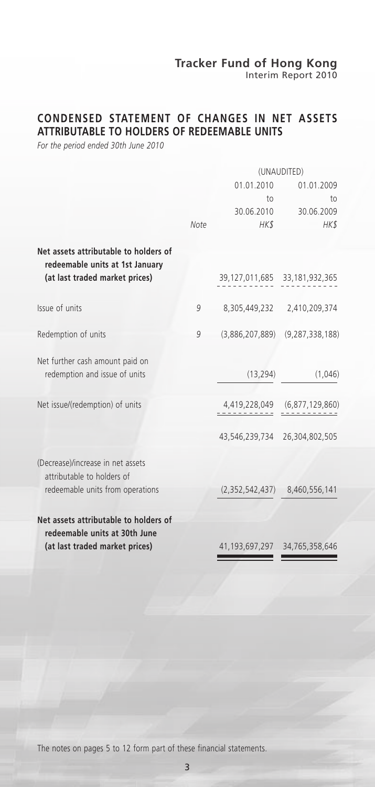Interim Report 2010

## **CONDENSED STATEMENT OF CHANGES IN NET ASSETS ATTRIBUTABLE TO HOLDERS OF REDEEMABLE UNITS**

*For the period ended 30th June 2010*

|                                                                          | (UNAUDITED) |                                     |                                     |
|--------------------------------------------------------------------------|-------------|-------------------------------------|-------------------------------------|
|                                                                          |             | 01.01.2010                          | 01.01.2009                          |
|                                                                          |             | to                                  | to                                  |
|                                                                          |             | 30.06.2010                          | 30.06.2009                          |
|                                                                          | Note        | HK\$                                | HK\$                                |
| Net assets attributable to holders of<br>redeemable units at 1st January |             |                                     |                                     |
| (at last traded market prices)                                           |             | 39, 127, 011, 685 33, 181, 932, 365 |                                     |
| Issue of units                                                           | 9           |                                     | 8,305,449,232 2,410,209,374         |
| Redemption of units                                                      | 9           |                                     | $(3,886,207,889)$ $(9,287,338,188)$ |
| Net further cash amount paid on                                          |             |                                     |                                     |
| redemption and issue of units                                            |             | (13, 294)                           | (1,046)                             |
| Net issue/(redemption) of units                                          |             |                                     | 4,419,228,049 (6,877,129,860)       |
|                                                                          |             | 43,546,239,734 26,304,802,505       |                                     |
| (Decrease)/increase in net assets<br>attributable to holders of          |             |                                     |                                     |
| redeemable units from operations                                         |             |                                     | $(2,352,542,437)$ 8,460,556,141     |
| Net assets attributable to holders of<br>redeemable units at 30th June   |             |                                     |                                     |
| (at last traded market prices)                                           |             | 41, 193, 697, 297 34, 765, 358, 646 |                                     |
|                                                                          |             |                                     |                                     |

The notes on pages 5 to 12 form part of these financial statements.

3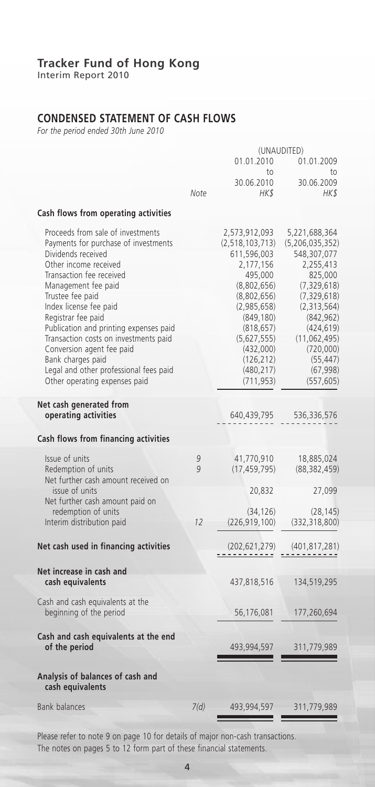Interim Report 2010

## **CONDENSED STATEMENT OF CASH FLOWS**

*For the period ended 30th June 2010*

|                                                                                                                                                                                                                                                                                                                                                                                                                                                                 |              | (UNAUDITED)                                                                                                                                                                                                            |                                                                                                                                                                                                                                  |  |
|-----------------------------------------------------------------------------------------------------------------------------------------------------------------------------------------------------------------------------------------------------------------------------------------------------------------------------------------------------------------------------------------------------------------------------------------------------------------|--------------|------------------------------------------------------------------------------------------------------------------------------------------------------------------------------------------------------------------------|----------------------------------------------------------------------------------------------------------------------------------------------------------------------------------------------------------------------------------|--|
|                                                                                                                                                                                                                                                                                                                                                                                                                                                                 |              | 01.01.2010<br>$\overline{10}$                                                                                                                                                                                          | 01.01.2009<br>tο                                                                                                                                                                                                                 |  |
|                                                                                                                                                                                                                                                                                                                                                                                                                                                                 | Note         | 30.06.2010<br>HK\$                                                                                                                                                                                                     | 30.06.2009<br>HK\$                                                                                                                                                                                                               |  |
| Cash flows from operating activities                                                                                                                                                                                                                                                                                                                                                                                                                            |              |                                                                                                                                                                                                                        |                                                                                                                                                                                                                                  |  |
| Proceeds from sale of investments<br>Payments for purchase of investments<br>Dividends received<br>Other income received<br>Transaction fee received<br>Management fee paid<br>Trustee fee paid<br>Index license fee paid<br>Registrar fee paid<br>Publication and printing expenses paid<br>Transaction costs on investments paid<br>Conversion agent fee paid<br>Bank charges paid<br>Legal and other professional fees paid<br>Other operating expenses paid |              | 2,573,912,093<br>(2,518,103,713)<br>611,596,003<br>2,177,156<br>495,000<br>(8,802,656)<br>(8,802,656)<br>(2,985,658)<br>(849, 180)<br>(818, 657)<br>(5,627,555)<br>(432,000)<br>(126, 212)<br>(480, 217)<br>(711, 953) | 5,221,688,364<br>(5, 206, 035, 352)<br>548,307,077<br>2,255,413<br>825,000<br>(7, 329, 618)<br>(7, 329, 618)<br>(2, 313, 564)<br>(842, 962)<br>(424, 619)<br>(11, 062, 495)<br>(720,000)<br>(55, 447)<br>(67, 998)<br>(557, 605) |  |
| Net cash generated from<br>operating activities                                                                                                                                                                                                                                                                                                                                                                                                                 |              | 640,439,795                                                                                                                                                                                                            | 536,336,576                                                                                                                                                                                                                      |  |
| Cash flows from financing activities                                                                                                                                                                                                                                                                                                                                                                                                                            |              |                                                                                                                                                                                                                        |                                                                                                                                                                                                                                  |  |
| Issue of units<br>Redemption of units<br>Net further cash amount received on<br>issue of units<br>Net further cash amount paid on<br>redemption of units<br>Interim distribution paid                                                                                                                                                                                                                                                                           | 9<br>9<br>12 | 41,770,910<br>(17, 459, 795)<br>20,832<br>(34, 126)<br>(226, 919, 100)                                                                                                                                                 | 18,885,024<br>(88, 382, 459)<br>27,099<br>(28, 145)<br>(332, 318, 800)                                                                                                                                                           |  |
| Net cash used in financing activities                                                                                                                                                                                                                                                                                                                                                                                                                           |              | (202, 621, 279)                                                                                                                                                                                                        | (401,817,281)                                                                                                                                                                                                                    |  |
| Net increase in cash and<br>cash equivalents                                                                                                                                                                                                                                                                                                                                                                                                                    |              | 437,818,516                                                                                                                                                                                                            | 134,519,295                                                                                                                                                                                                                      |  |
| Cash and cash equivalents at the<br>beginning of the period                                                                                                                                                                                                                                                                                                                                                                                                     |              | 56,176,081                                                                                                                                                                                                             | 177,260,694                                                                                                                                                                                                                      |  |
| Cash and cash equivalents at the end<br>of the period<br>Analysis of balances of cash and                                                                                                                                                                                                                                                                                                                                                                       |              | 493,994,597                                                                                                                                                                                                            | 311,779,989                                                                                                                                                                                                                      |  |
| cash equivalents                                                                                                                                                                                                                                                                                                                                                                                                                                                |              |                                                                                                                                                                                                                        |                                                                                                                                                                                                                                  |  |
| <b>Bank balances</b>                                                                                                                                                                                                                                                                                                                                                                                                                                            | 7(d)         | 493,994,597                                                                                                                                                                                                            | 311,779,989                                                                                                                                                                                                                      |  |

Please refer to note 9 on page 10 for details of major non-cash transactions. The notes on pages 5 to 12 form part of these financial statements.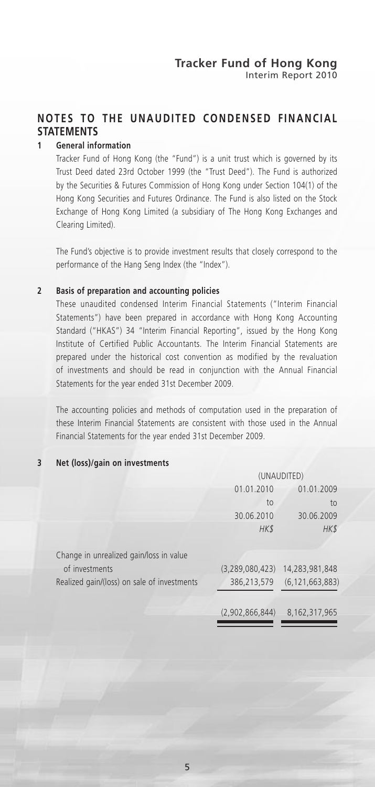## **NOTES TO THE UNAUDITED CONDENSED FINANCIAL STATEMENTS**

#### **1 General information**

Tracker Fund of Hong Kong (the "Fund") is a unit trust which is governed by its Trust Deed dated 23rd October 1999 (the "Trust Deed"). The Fund is authorized by the Securities & Futures Commission of Hong Kong under Section 104(1) of the Hong Kong Securities and Futures Ordinance. The Fund is also listed on the Stock Exchange of Hong Kong Limited (a subsidiary of The Hong Kong Exchanges and Clearing Limited).

The Fund's objective is to provide investment results that closely correspond to the performance of the Hang Seng Index (the "Index").

#### **2 Basis of preparation and accounting policies**

These unaudited condensed Interim Financial Statements ("Interim Financial Statements") have been prepared in accordance with Hong Kong Accounting Standard ("HKAS") 34 "Interim Financial Reporting", issued by the Hong Kong Institute of Certified Public Accountants. The Interim Financial Statements are prepared under the historical cost convention as modified by the revaluation of investments and should be read in conjunction with the Annual Financial Statements for the year ended 31st December 2009.

The accounting policies and methods of computation used in the preparation of these Interim Financial Statements are consistent with those used in the Annual Financial Statements for the year ended 31st December 2009.

#### **3 Net (loss)/gain on investments**

|                                             | (UNAUDITED)              |                    |  |
|---------------------------------------------|--------------------------|--------------------|--|
|                                             | 01.01.2010<br>01.01.2009 |                    |  |
|                                             | $\overline{10}$          | to                 |  |
|                                             | 30.06.2010               | 30.06.2009         |  |
|                                             | HK\$                     | HK\$               |  |
| Change in unrealized gain/loss in value     |                          |                    |  |
| of investments                              | (3, 289, 080, 423)       | 14,283,981,848     |  |
| Realized gain/(loss) on sale of investments | 386,213,579              | (6, 121, 663, 883) |  |
|                                             | (2,902,866,844)          | 8, 162, 317, 965   |  |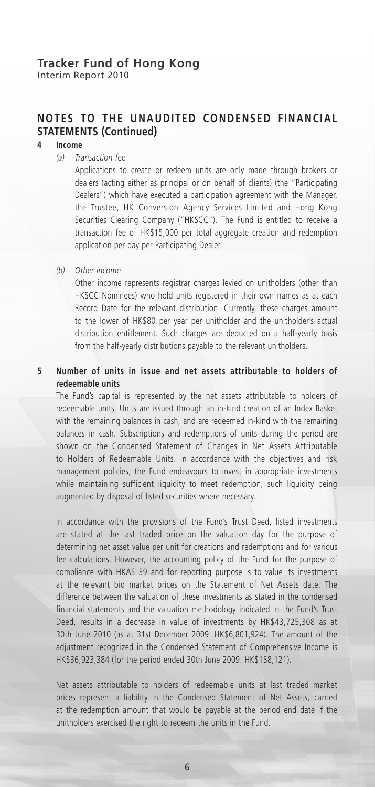Interim Report 2010

## **NOTES TO THE UNAUDITED CONDENSED FINANCIAL STATEMENTS (Continued)**

### **4 Income**

*(a) Transaction fee*

Applications to create or redeem units are only made through brokers or dealers (acting either as principal or on behalf of clients) (the "Participating Dealers") which have executed a participation agreement with the Manager, the Trustee, HK Conversion Agency Services Limited and Hong Kong Securities Clearing Company ("HKSCC"). The Fund is entitled to receive a transaction fee of HK\$15,000 per total aggregate creation and redemption application per day per Participating Dealer.

*(b) Other income*

Other income represents registrar charges levied on unitholders (other than HKSCC Nominees) who hold units registered in their own names as at each Record Date for the relevant distribution. Currently, these charges amount to the lower of HK\$80 per year per unitholder and the unitholder's actual distribution entitlement. Such charges are deducted on a half-yearly basis from the half-yearly distributions payable to the relevant unitholders.

#### **5 Number of units in issue and net assets attributable to holders of redeemable units**

The Fund's capital is represented by the net assets attributable to holders of redeemable units. Units are issued through an in-kind creation of an Index Basket with the remaining balances in cash, and are redeemed in-kind with the remaining balances in cash. Subscriptions and redemptions of units during the period are shown on the Condensed Statement of Changes in Net Assets Attributable to Holders of Redeemable Units. In accordance with the objectives and risk management policies, the Fund endeavours to invest in appropriate investments while maintaining sufficient liquidity to meet redemption, such liquidity being augmented by disposal of listed securities where necessary.

In accordance with the provisions of the Fund's Trust Deed, listed investments are stated at the last traded price on the valuation day for the purpose of determining net asset value per unit for creations and redemptions and for various fee calculations. However, the accounting policy of the Fund for the purpose of compliance with HKAS 39 and for reporting purpose is to value its investments at the relevant bid market prices on the Statement of Net Assets date. The difference between the valuation of these investments as stated in the condensed financial statements and the valuation methodology indicated in the Fund's Trust Deed, results in a decrease in value of investments by HK\$43,725,308 as at 30th June 2010 (as at 31st December 2009: HK\$6,801,924). The amount of the adjustment recognized in the Condensed Statement of Comprehensive Income is HK\$36,923,384 (for the period ended 30th June 2009: HK\$158,121).

Net assets attributable to holders of redeemable units at last traded market prices represent a liability in the Condensed Statement of Net Assets, carried at the redemption amount that would be payable at the period end date if the unitholders exercised the right to redeem the units in the Fund.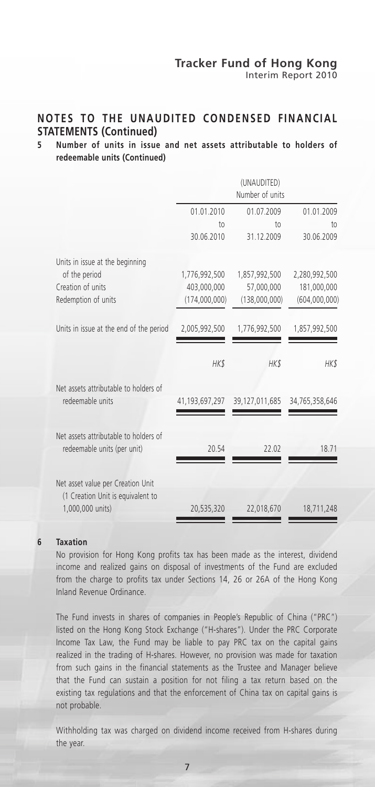## **NOTES TO THE UNAUDITED CONDENSED FINANCIAL STATEMENTS (Continued)**

#### **5 Number of units in issue and net assets attributable to holders of redeemable units (Continued)**

|                                                                        |                  | (UNAUDITED)<br>Number of units |                               |
|------------------------------------------------------------------------|------------------|--------------------------------|-------------------------------|
|                                                                        | 01.01.2010<br>to | 01.07.2009<br>10 <sub>1</sub>  | 01.01.2009<br>10 <sub>1</sub> |
|                                                                        | 30.06.2010       | 31.12.2009                     | 30.06.2009                    |
| Units in issue at the beginning                                        |                  |                                |                               |
| of the period                                                          | 1,776,992,500    | 1,857,992,500                  | 2,280,992,500                 |
| Creation of units                                                      | 403,000,000      | 57,000,000                     | 181,000,000                   |
| Redemption of units                                                    | (174,000,000)    | (138,000,000)                  | (604,000,000)                 |
| Units in issue at the end of the period                                | 2,005,992,500    | 1,776,992,500                  | 1,857,992,500                 |
|                                                                        | HK\$             | HK\$                           | HK\$                          |
| Net assets attributable to holders of<br>redeemable units              | 41,193,697,297   | 39,127,011,685                 | 34,765,358,646                |
| Net assets attributable to holders of<br>redeemable units (per unit)   | 20.54            | 22.02                          | 18.71                         |
| Net asset value per Creation Unit<br>(1 Creation Unit is equivalent to |                  |                                |                               |
| 1,000,000 units)                                                       | 20,535,320       | 22,018,670                     | 18,711,248                    |
|                                                                        |                  |                                |                               |

#### **6 Taxation**

No provision for Hong Kong profits tax has been made as the interest, dividend income and realized gains on disposal of investments of the Fund are excluded from the charge to profits tax under Sections 14, 26 or 26A of the Hong Kong Inland Revenue Ordinance.

The Fund invests in shares of companies in People's Republic of China ("PRC") listed on the Hong Kong Stock Exchange ("H-shares"). Under the PRC Corporate Income Tax Law, the Fund may be liable to pay PRC tax on the capital gains realized in the trading of H-shares. However, no provision was made for taxation from such gains in the financial statements as the Trustee and Manager believe that the Fund can sustain a position for not filing a tax return based on the existing tax regulations and that the enforcement of China tax on capital gains is not probable.

Withholding tax was charged on dividend income received from H-shares during the year.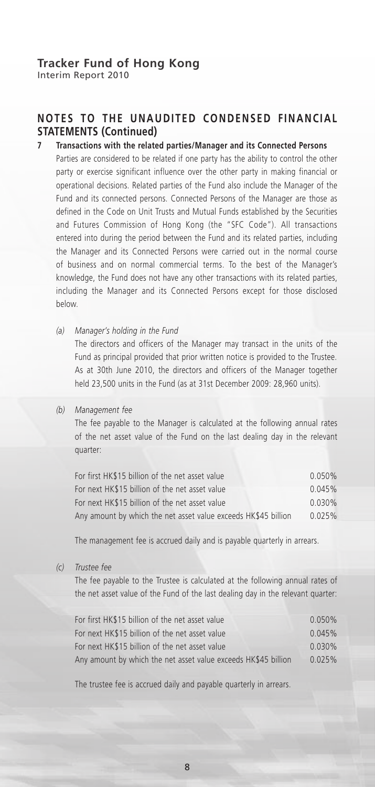## **NOTES TO THE UNAUDITED CONDENSED FINANCIAL STATEMENTS (Continued)**

#### **7 Transactions with the related parties/Manager and its Connected Persons**

Parties are considered to be related if one party has the ability to control the other party or exercise significant influence over the other party in making financial or operational decisions. Related parties of the Fund also include the Manager of the Fund and its connected persons. Connected Persons of the Manager are those as defined in the Code on Unit Trusts and Mutual Funds established by the Securities and Futures Commission of Hong Kong (the "SFC Code"). All transactions entered into during the period between the Fund and its related parties, including the Manager and its Connected Persons were carried out in the normal course of business and on normal commercial terms. To the best of the Manager's knowledge, the Fund does not have any other transactions with its related parties, including the Manager and its Connected Persons except for those disclosed below.

*(a) Manager's holding in the Fund*

The directors and officers of the Manager may transact in the units of the Fund as principal provided that prior written notice is provided to the Trustee. As at 30th June 2010, the directors and officers of the Manager together held 23,500 units in the Fund (as at 31st December 2009: 28,960 units).

#### *(b) Management fee*

The fee payable to the Manager is calculated at the following annual rates of the net asset value of the Fund on the last dealing day in the relevant quarter:

| For first HK\$15 billion of the net asset value                | $0.050\%$ |
|----------------------------------------------------------------|-----------|
| For next HK\$15 billion of the net asset value                 | 0.045%    |
| For next HK\$15 billion of the net asset value                 | $0.030\%$ |
| Any amount by which the net asset value exceeds HK\$45 billion | 0.025%    |

The management fee is accrued daily and is payable quarterly in arrears.

*(c) Trustee fee*

The fee payable to the Trustee is calculated at the following annual rates of the net asset value of the Fund of the last dealing day in the relevant quarter:

| For first HK\$15 billion of the net asset value                | 0.050%    |
|----------------------------------------------------------------|-----------|
| For next HK\$15 billion of the net asset value                 | 0.045%    |
| For next HK\$15 billion of the net asset value                 | $0.030\%$ |
| Any amount by which the net asset value exceeds HK\$45 billion | 0.025%    |

The trustee fee is accrued daily and payable quarterly in arrears.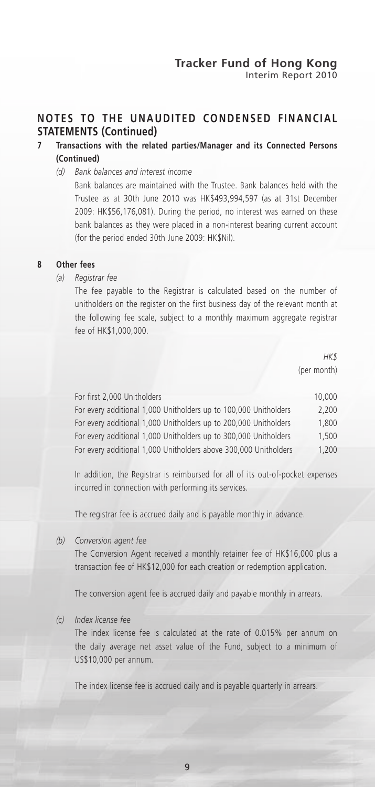## **NOTES TO THE UNAUDITED CONDENSED FINANCIAL STATEMENTS (Continued)**

#### **7 Transactions with the related parties/Manager and its Connected Persons (Continued)**

*(d) Bank balances and interest income*

Bank balances are maintained with the Trustee. Bank balances held with the Trustee as at 30th June 2010 was HK\$493,994,597 (as at 31st December 2009: HK\$56,176,081). During the period, no interest was earned on these bank balances as they were placed in a non-interest bearing current account (for the period ended 30th June 2009: HK\$Nil).

#### **8 Other fees**

*(a) Registrar fee*

The fee payable to the Registrar is calculated based on the number of unitholders on the register on the first business day of the relevant month at the following fee scale, subject to a monthly maximum aggregate registrar fee of HK\$1,000,000.

> *HK\$* (per month)

| For first 2,000 Unitholders                                      | 10,000 |
|------------------------------------------------------------------|--------|
| For every additional 1,000 Unitholders up to 100,000 Unitholders | 2.200  |
| For every additional 1,000 Unitholders up to 200,000 Unitholders | 1.800  |
| For every additional 1,000 Unitholders up to 300,000 Unitholders | 1.500  |
| For every additional 1,000 Unitholders above 300,000 Unitholders | 1.200  |

In addition, the Registrar is reimbursed for all of its out-of-pocket expenses incurred in connection with performing its services.

The registrar fee is accrued daily and is payable monthly in advance.

*(b) Conversion agent fee*

The Conversion Agent received a monthly retainer fee of HK\$16,000 plus a transaction fee of HK\$12,000 for each creation or redemption application.

The conversion agent fee is accrued daily and payable monthly in arrears.

#### *(c) Index license fee*

The index license fee is calculated at the rate of 0.015% per annum on the daily average net asset value of the Fund, subject to a minimum of US\$10,000 per annum.

The index license fee is accrued daily and is payable quarterly in arrears.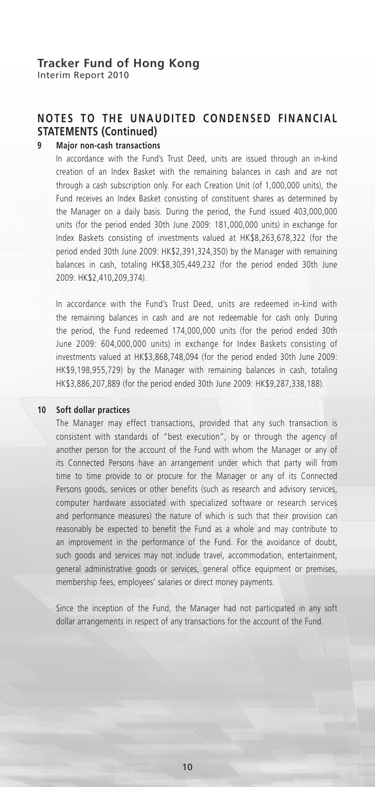## **NOTES TO THE UNAUDITED CONDENSED FINANCIAL STATEMENTS (Continued)**

#### **9 Major non-cash transactions**

In accordance with the Fund's Trust Deed, units are issued through an in-kind creation of an Index Basket with the remaining balances in cash and are not through a cash subscription only. For each Creation Unit (of 1,000,000 units), the Fund receives an Index Basket consisting of constituent shares as determined by the Manager on a daily basis. During the period, the Fund issued 403,000,000 units (for the period ended 30th June 2009: 181,000,000 units) in exchange for Index Baskets consisting of investments valued at HK\$8,263,678,322 (for the period ended 30th June 2009: HK\$2,391,324,350) by the Manager with remaining balances in cash, totaling HK\$8,305,449,232 (for the period ended 30th June 2009: HK\$2,410,209,374).

In accordance with the Fund's Trust Deed, units are redeemed in-kind with the remaining balances in cash and are not redeemable for cash only. During the period, the Fund redeemed 174,000,000 units (for the period ended 30th June 2009: 604,000,000 units) in exchange for Index Baskets consisting of investments valued at HK\$3,868,748,094 (for the period ended 30th June 2009: HK\$9,198,955,729) by the Manager with remaining balances in cash, totaling HK\$3,886,207,889 (for the period ended 30th June 2009: HK\$9,287,338,188).

#### **10 Soft dollar practices**

The Manager may effect transactions, provided that any such transaction is consistent with standards of "best execution", by or through the agency of another person for the account of the Fund with whom the Manager or any of its Connected Persons have an arrangement under which that party will from time to time provide to or procure for the Manager or any of its Connected Persons goods, services or other benefits (such as research and advisory services, computer hardware associated with specialized software or research services and performance measures) the nature of which is such that their provision can reasonably be expected to benefit the Fund as a whole and may contribute to an improvement in the performance of the Fund. For the avoidance of doubt, such goods and services may not include travel, accommodation, entertainment, general administrative goods or services, general office equipment or premises, membership fees, employees' salaries or direct money payments.

Since the inception of the Fund, the Manager had not participated in any soft dollar arrangements in respect of any transactions for the account of the Fund.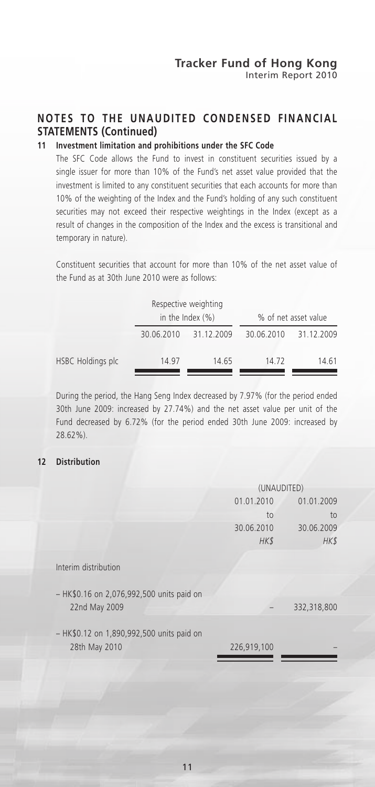## **NOTES TO THE UNAUDITED CONDENSED FINANCIAL STATEMENTS (Continued)**

#### **11 Investment limitation and prohibitions under the SFC Code**

The SFC Code allows the Fund to invest in constituent securities issued by a single issuer for more than 10% of the Fund's net asset value provided that the investment is limited to any constituent securities that each accounts for more than 10% of the weighting of the Index and the Fund's holding of any such constituent securities may not exceed their respective weightings in the Index (except as a result of changes in the composition of the Index and the excess is transitional and temporary in nature).

Constituent securities that account for more than 10% of the net asset value of the Fund as at 30th June 2010 were as follows:

|                   | Respective weighting<br>in the Index $(\%)$ |            |            | % of net asset value |
|-------------------|---------------------------------------------|------------|------------|----------------------|
|                   | 30.06.2010                                  | 31.12.2009 | 30.06.2010 | 31.12.2009           |
| HSBC Holdings plc | 14 97                                       | 14.65      | 14.72      | 14.61                |

During the period, the Hang Seng Index decreased by 7.97% (for the period ended 30th June 2009: increased by 27.74%) and the net asset value per unit of the Fund decreased by 6.72% (for the period ended 30th June 2009: increased by 28.62%).

#### **12 Distribution**

|                                           | (UNAUDITED) |             |  |
|-------------------------------------------|-------------|-------------|--|
|                                           | 01.01.2010  | 01.01.2009  |  |
|                                           | to          | to          |  |
|                                           | 30.06.2010  | 30.06.2009  |  |
|                                           | <b>HKS</b>  | HK\$        |  |
|                                           |             |             |  |
| Interim distribution                      |             |             |  |
|                                           |             |             |  |
| - HK\$0.16 on 2,076,992,500 units paid on |             |             |  |
| 22nd May 2009                             |             | 332,318,800 |  |
|                                           |             |             |  |
| - HK\$0.12 on 1,890,992,500 units paid on |             |             |  |
| 28th May 2010                             | 226,919,100 |             |  |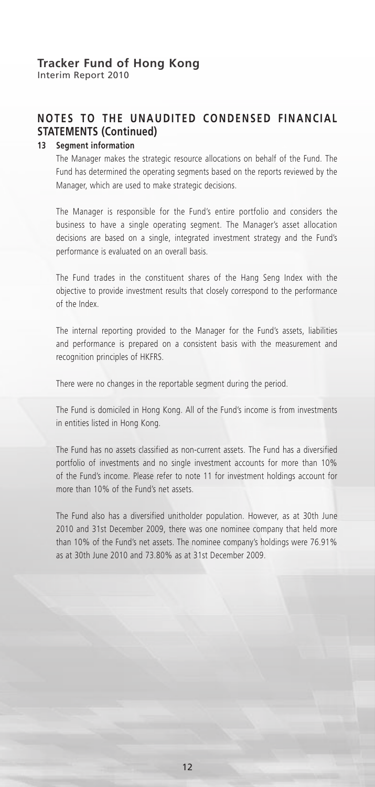## **NOTES TO THE UNAUDITED CONDENSED FINANCIAL STATEMENTS (Continued)**

#### **13 Segment information**

The Manager makes the strategic resource allocations on behalf of the Fund. The Fund has determined the operating segments based on the reports reviewed by the Manager, which are used to make strategic decisions.

The Manager is responsible for the Fund's entire portfolio and considers the business to have a single operating segment. The Manager's asset allocation decisions are based on a single, integrated investment strategy and the Fund's performance is evaluated on an overall basis.

The Fund trades in the constituent shares of the Hang Seng Index with the objective to provide investment results that closely correspond to the performance of the Index.

The internal reporting provided to the Manager for the Fund's assets, liabilities and performance is prepared on a consistent basis with the measurement and recognition principles of HKFRS.

There were no changes in the reportable segment during the period.

The Fund is domiciled in Hong Kong. All of the Fund's income is from investments in entities listed in Hong Kong.

The Fund has no assets classified as non-current assets. The Fund has a diversified portfolio of investments and no single investment accounts for more than 10% of the Fund's income. Please refer to note 11 for investment holdings account for more than 10% of the Fund's net assets.

The Fund also has a diversified unitholder population. However, as at 30th June 2010 and 31st December 2009, there was one nominee company that held more than 10% of the Fund's net assets. The nominee company's holdings were 76.91% as at 30th June 2010 and 73.80% as at 31st December 2009.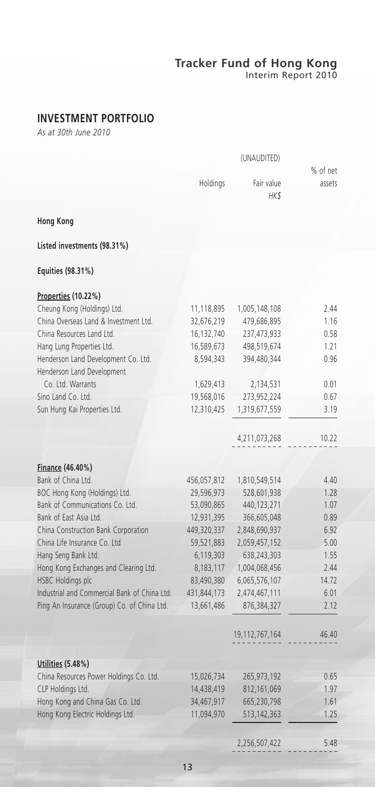Interim Report 2010

## **INVESTMENT PORTFOLIO**

*As at 30th June 2010*

|                                              |             | % of net           |        |
|----------------------------------------------|-------------|--------------------|--------|
|                                              | Holdings    | Fair value<br>HK\$ | assets |
| <b>Hong Kong</b>                             |             |                    |        |
| Listed investments (98.31%)                  |             |                    |        |
| Equities (98.31%)                            |             |                    |        |
| Properties (10.22%)                          |             |                    |        |
| Cheung Kong (Holdings) Ltd.                  | 11,118,895  | 1,005,148,108      | 2.44   |
| China Overseas Land & Investment Ltd.        | 32,676,219  | 479,686,895        | 1.16   |
| China Resources Land Ltd.                    | 16,132,740  | 237,473,933        | 0.58   |
| Hang Lung Properties Ltd.                    | 16,589,673  | 498,519,674        | 1.21   |
| Henderson Land Development Co. Ltd.          | 8,594,343   | 394,480,344        | 0.96   |
| Henderson Land Development                   |             |                    |        |
| Co. Ltd. Warrants                            | 1,629,413   | 2,134,531          | 0.01   |
| Sino Land Co. Ltd.                           | 19,568,016  | 273,952,224        | 0.67   |
| Sun Hung Kai Properties Ltd.                 | 12,310,425  | 1,319,677,559      | 3.19   |
|                                              |             |                    |        |
|                                              |             | 4,211,073,268      | 10.22  |
|                                              |             |                    |        |
|                                              |             |                    |        |
| Finance (46.40%)                             |             |                    |        |
| Bank of China Ltd.                           | 456,057,812 | 1,810,549,514      | 4.40   |
| BOC Hong Kong (Holdings) Ltd.                | 29,596,973  | 528,601,938        | 1.28   |
| Bank of Communications Co. Ltd.              | 53,090,865  | 440,123,271        | 1.07   |
| Bank of East Asia Ltd.                       | 12,931,395  | 366,605,048        | 0.89   |
| China Construction Bank Corporation          | 449,320,337 | 2,848,690,937      | 6.92   |
| China Life Insurance Co. Ltd                 | 59,521,883  | 2,059,457,152      | 5.00   |
| Hang Seng Bank Ltd.                          | 6,119,303   | 638,243,303        | 1.55   |
| Hong Kong Exchanges and Clearing Ltd.        | 8,183,117   | 1,004,068,456      | 2.44   |
| <b>HSBC Holdings plc</b>                     | 83,490,380  | 6,065,576,107      | 14.72  |
| Industrial and Commercial Bank of China Ltd. | 431,844,173 | 2,474,467,111      | 6.01   |
| Ping An Insurance (Group) Co. of China Ltd.  | 13,661,486  | 876,384,327        | 2.12   |
|                                              |             | 19, 112, 767, 164  | 46.40  |
| Utilities (5.48%)                            |             |                    |        |
| China Resources Power Holdings Co. Ltd.      | 15,026,734  | 265,973,192        | 0.65   |
| CLP Holdings Ltd.                            | 14,438,419  | 812, 161, 069      | 1.97   |
| Hong Kong and China Gas Co. Ltd.             | 34,467,917  | 665,230,798        | 1.61   |
| Hong Kong Electric Holdings Ltd.             | 11,094,970  | 513,142,363        | 1.25   |
|                                              |             |                    |        |
|                                              |             |                    |        |
|                                              |             | 2,256,507,422      | 5.48   |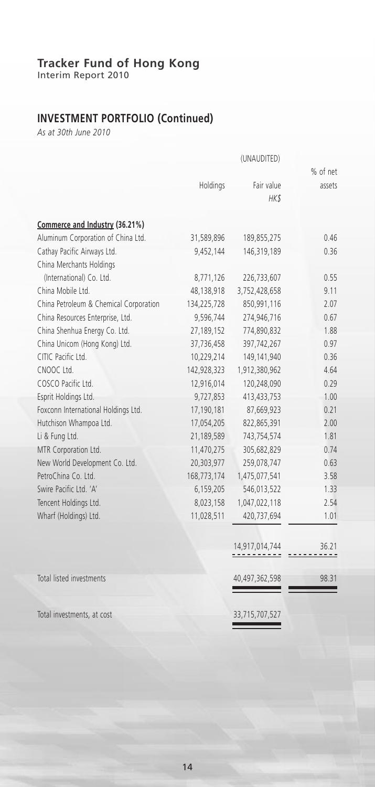Interim Report 2010

## **INVESTMENT PORTFOLIO (Continued)**

*As at 30th June 2010*

|                                        |             |                | % of net |
|----------------------------------------|-------------|----------------|----------|
|                                        | Holdings    | Fair value     | assets   |
|                                        |             | HK\$           |          |
| Commerce and Industry (36.21%)         |             |                |          |
| Aluminum Corporation of China Ltd.     | 31,589,896  | 189,855,275    | 0.46     |
| Cathay Pacific Airways Ltd.            | 9,452,144   | 146,319,189    | 0.36     |
| China Merchants Holdings               |             |                |          |
| (International) Co. Ltd.               | 8,771,126   | 226,733,607    | 0.55     |
| China Mobile Ltd.                      | 48,138,918  | 3,752,428,658  | 9.11     |
| China Petroleum & Chemical Corporation | 134,225,728 | 850,991,116    | 2.07     |
| China Resources Enterprise, Ltd.       | 9,596,744   | 274,946,716    | 0.67     |
| China Shenhua Energy Co. Ltd.          | 27,189,152  | 774,890,832    | 1.88     |
| China Unicom (Hong Kong) Ltd.          | 37,736,458  | 397,742,267    | 0.97     |
| CITIC Pacific Ltd.                     | 10,229,214  | 149,141,940    | 0.36     |
| CNOOC Ltd.                             | 142,928,323 | 1,912,380,962  | 4.64     |
| COSCO Pacific Ltd.                     | 12,916,014  | 120,248,090    | 0.29     |
| Esprit Holdings Ltd.                   | 9,727,853   | 413,433,753    | 1.00     |
| Foxconn International Holdings Ltd.    | 17,190,181  | 87,669,923     | 0.21     |
| Hutchison Whampoa Ltd.                 | 17,054,205  | 822,865,391    | 2.00     |
| Li & Fung Ltd.                         | 21,189,589  | 743,754,574    | 1.81     |
| MTR Corporation Ltd.                   | 11,470,275  | 305,682,829    | 0.74     |
| New World Development Co. Ltd.         | 20,303,977  | 259,078,747    | 0.63     |
| PetroChina Co. Ltd.                    | 168,773,174 | 1,475,077,541  | 3.58     |
| Swire Pacific Ltd. 'A'                 | 6,159,205   | 546,013,522    | 1.33     |
| Tencent Holdings Ltd.                  | 8,023,158   | 1,047,022,118  | 2.54     |
| Wharf (Holdings) Ltd.                  | 11,028,511  | 420,737,694    | 1.01     |
|                                        |             | 14,917,014,744 | 36.21    |
|                                        |             |                |          |
| Total listed investments               |             | 40,497,362,598 | 98.31    |
| Total investments, at cost             |             | 33,715,707,527 |          |
|                                        |             |                |          |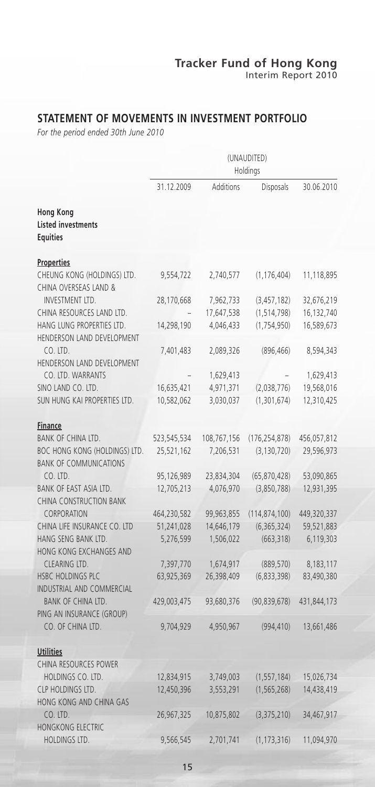## **STATEMENT OF MOVEMENTS IN INVESTMENT PORTFOLIO**

*For the period ended 30th June 2010*

|                                                                                      | (UNAUDITED)<br>Holdings   |                          |                                  |                           |
|--------------------------------------------------------------------------------------|---------------------------|--------------------------|----------------------------------|---------------------------|
|                                                                                      | 31.12.2009                | Additions                | Disposals                        | 30.06.2010                |
| <b>Hong Kong</b><br><b>Listed investments</b><br><b>Equities</b>                     |                           |                          |                                  |                           |
| <b>Properties</b>                                                                    |                           |                          |                                  |                           |
| CHEUNG KONG (HOLDINGS) LTD.<br>CHINA OVERSEAS LAND &                                 | 9,554,722                 | 2,740,577                | (1, 176, 404)                    | 11,118,895                |
| INVESTMENT LTD.                                                                      | 28,170,668                | 7,962,733                | (3, 457, 182)                    | 32,676,219                |
| CHINA RESOURCES LAND LTD.                                                            |                           | 17,647,538               | (1, 514, 798)                    | 16,132,740                |
| HANG LUNG PROPERTIES LTD.<br>HENDERSON LAND DEVELOPMENT                              | 14,298,190                | 4,046,433                | (1,754,950)                      | 16,589,673                |
| $CO.$ LTD.<br>HENDERSON LAND DEVELOPMENT                                             | 7,401,483                 | 2,089,326                | (896, 466)                       | 8,594,343                 |
| CO. LTD. WARRANTS                                                                    |                           | 1,629,413                |                                  | 1,629,413                 |
| SINO LAND CO. LTD.                                                                   | 16,635,421                | 4,971,371                | (2,038,776)                      | 19,568,016                |
| SUN HUNG KAI PROPERTIES LTD.                                                         | 10,582,062                | 3,030,037                | (1,301,674)                      | 12,310,425                |
| <b>Finance</b>                                                                       |                           |                          |                                  |                           |
| BANK OF CHINA LTD.<br>BOC HONG KONG (HOLDINGS) LTD.<br><b>BANK OF COMMUNICATIONS</b> | 523,545,534<br>25,521,162 | 108,767,156<br>7,206,531 | (176, 254, 878)<br>(3, 130, 720) | 456,057,812<br>29,596,973 |
| CO. LTD.                                                                             | 95,126,989                | 23,834,304               | (65,870,428)                     | 53,090,865                |
| BANK OF EAST ASIA LTD.                                                               | 12,705,213                | 4,076,970                | (3,850,788)                      | 12,931,395                |
| CHINA CONSTRUCTION BANK<br>CORPORATION                                               | 464,230,582               | 99,963,855               | (114, 874, 100)                  | 449,320,337               |
| CHINA LIFE INSURANCE CO. LTD                                                         | 51,241,028                | 14,646,179               | (6,365,324)                      | 59,521,883                |
| HANG SENG BANK LTD.<br>HONG KONG EXCHANGES AND                                       | 5,276,599                 | 1,506,022                | (663, 318)                       | 6,119,303                 |
| CLEARING LTD.                                                                        | 7,397,770                 | 1,674,917                | (889, 570)                       | 8,183,117                 |
| HSBC HOLDINGS PLC<br>INDUSTRIAL AND COMMERCIAL                                       | 63,925,369                | 26,398,409               | (6,833,398)                      | 83,490,380                |
| BANK OF CHINA LTD.<br>PING AN INSURANCE (GROUP)                                      | 429,003,475               | 93,680,376               | (90, 839, 678)                   | 431,844,173               |
| CO. OF CHINA LTD.                                                                    | 9,704,929                 | 4,950,967                | (994, 410)                       | 13,661,486                |
| <b>Utilities</b>                                                                     |                           |                          |                                  |                           |
| CHINA RESOURCES POWER                                                                |                           |                          |                                  |                           |
| HOLDINGS CO. LTD.                                                                    | 12,834,915                | 3,749,003                | (1, 557, 184)                    | 15,026,734                |
| CLP HOLDINGS LTD.<br>HONG KONG AND CHINA GAS                                         | 12,450,396                | 3,553,291                | (1, 565, 268)                    | 14,438,419                |
| CO. LTD.<br>HONGKONG ELECTRIC                                                        | 26,967,325                | 10,875,802               | (3,375,210)                      | 34,467,917                |
| <b>HOLDINGS LTD.</b>                                                                 | 9,566,545                 | 2,701,741                | (1, 173, 316)                    | 11,094,970                |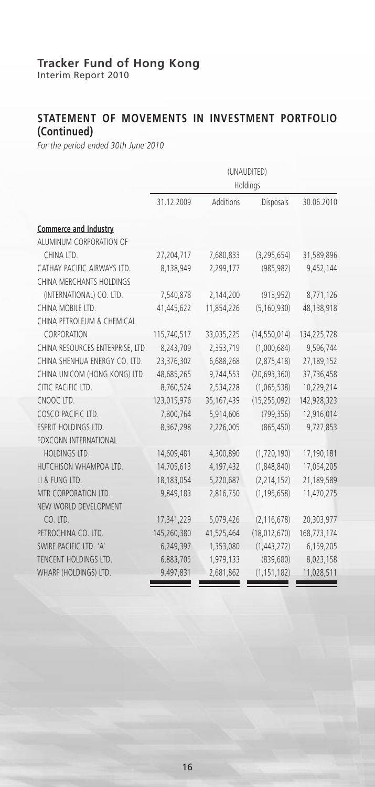Interim Report 2010

## **STATEMENT OF MOVEMENTS IN INVESTMENT PORTFOLIO (Continued)**

*For the period ended 30th June 2010*

|                                  | (UNAUDITED)<br>Holdings |            |                |             |
|----------------------------------|-------------------------|------------|----------------|-------------|
|                                  | 31.12.2009              | Additions  | Disposals      | 30.06.2010  |
| Commerce and Industry            |                         |            |                |             |
| ALUMINUM CORPORATION OF          |                         |            |                |             |
| CHINA LTD.                       | 27,204,717              | 7,680,833  | (3, 295, 654)  | 31,589,896  |
| CATHAY PACIFIC AIRWAYS LTD.      | 8,138,949               | 2,299,177  | (985, 982)     | 9,452,144   |
| CHINA MERCHANTS HOLDINGS         |                         |            |                |             |
| (INTERNATIONAL) CO. LTD.         | 7,540,878               | 2,144,200  | (913, 952)     | 8,771,126   |
| CHINA MOBILE LTD.                | 41,445,622              | 11,854,226 | (5, 160, 930)  | 48,138,918  |
| CHINA PETROLEUM & CHEMICAL       |                         |            |                |             |
| CORPORATION                      | 115,740,517             | 33,035,225 | (14, 550, 014) | 134,225,728 |
| CHINA RESOURCES ENTERPRISE, LTD. | 8,243,709               | 2,353,719  | (1,000,684)    | 9,596,744   |
| CHINA SHENHUA ENERGY CO. LTD.    | 23,376,302              | 6,688,268  | (2,875,418)    | 27,189,152  |
| CHINA UNICOM (HONG KONG) LTD.    | 48,685,265              | 9,744,553  | (20, 693, 360) | 37,736,458  |
| CITIC PACIFIC LTD.               | 8,760,524               | 2,534,228  | (1,065,538)    | 10,229,214  |
| CNOOC LTD.                       | 123,015,976             | 35,167,439 | (15, 255, 092) | 142,928,323 |
| COSCO PACIFIC LTD.               | 7,800,764               | 5,914,606  | (799, 356)     | 12,916,014  |
| ESPRIT HOLDINGS LTD.             | 8,367,298               | 2,226,005  | (865, 450)     | 9,727,853   |
| <b>FOXCONN INTERNATIONAL</b>     |                         |            |                |             |
| HOLDINGS LTD.                    | 14,609,481              | 4,300,890  | (1,720,190)    | 17,190,181  |
| HUTCHISON WHAMPOA LTD.           | 14,705,613              | 4,197,432  | (1,848,840)    | 17,054,205  |
| LI & FUNG LTD.                   | 18,183,054              | 5,220,687  | (2, 214, 152)  | 21,189,589  |
| MTR CORPORATION LTD.             | 9,849,183               | 2,816,750  | (1, 195, 658)  | 11,470,275  |
| NEW WORLD DEVELOPMENT            |                         |            |                |             |
| CO. LTD.                         | 17,341,229              | 5,079,426  | (2, 116, 678)  | 20,303,977  |
| PETROCHINA CO. LTD.              | 145,260,380             | 41,525,464 | (18,012,670)   | 168,773,174 |
| SWIRE PACIFIC LTD. 'A'           | 6,249,397               | 1,353,080  | (1,443,272)    | 6,159,205   |
| TENCENT HOLDINGS LTD.            | 6,883,705               | 1,979,133  | (839, 680)     | 8,023,158   |
| WHARF (HOLDINGS) LTD.            | 9,497,831               | 2,681,862  | (1, 151, 182)  | 11,028,511  |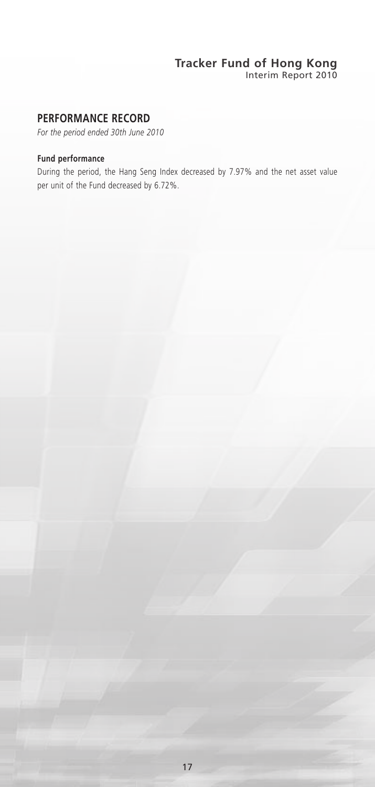Interim Report 2010

## **PERFORMANCE RECORD**

*For the period ended 30th June 2010*

#### **Fund performance**

During the period, the Hang Seng Index decreased by 7.97% and the net asset value per unit of the Fund decreased by 6.72%.